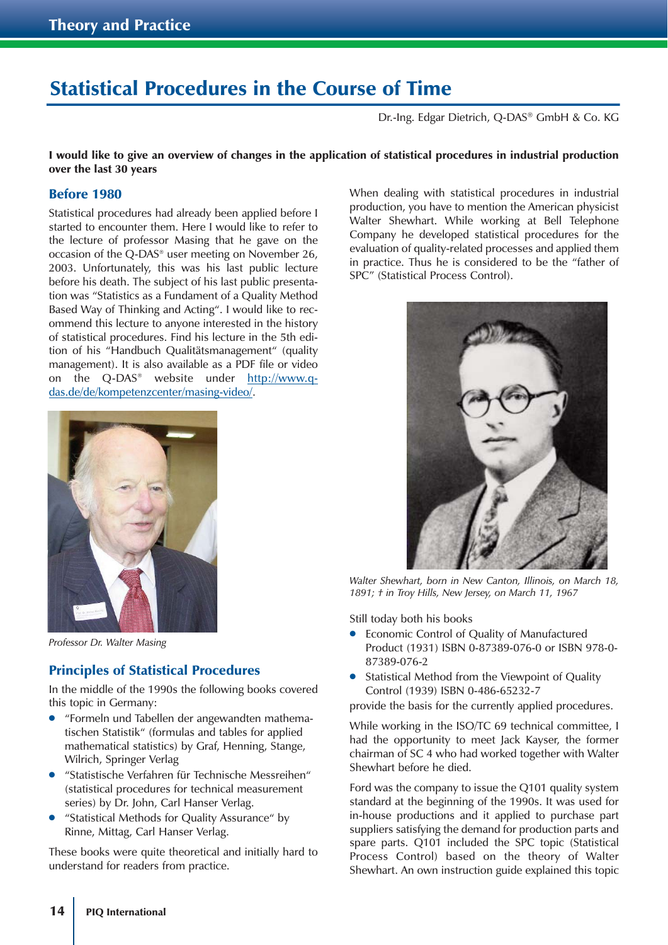# Statistical Procedures in the Course of Time

Dr.-Ing. Edgar Dietrich, Q-DAS® GmbH & Co. KG

I would like to give an overview of changes in the application of statistical procedures in industrial production over the last 30 years

#### Before 1980

Statistical procedures had already been applied before I started to encounter them. Here I would like to refer to the lecture of professor Masing that he gave on the occasion of the Q-DAS® user meeting on November 26, 2003. Unfortunately, this was his last public lecture before his death. The subject of his last public presentation was "Statistics as a Fundament of a Quality Method Based Way of Thinking and Acting". I would like to recommend this lecture to anyone interested in the history of statistical procedures. Find his lecture in the 5th edition of his "Handbuch Qualitätsmanagement" (quality management). It is also available as a PDF file or video on the Q-DAS<sup>®</sup> website under http://www.qdas.de/de/kompetenzcenter/masing-video/.



*Professor Dr. Walter Masing*

#### Principles of Statistical Procedures

In the middle of the 1990s the following books covered this topic in Germany:

- "Formeln und Tabellen der angewandten mathematischen Statistik" (formulas and tables for applied mathematical statistics) by Graf, Henning, Stange, Wilrich, Springer Verlag
- "Statistische Verfahren für Technische Messreihen" (statistical procedures for technical measurement series) by Dr. John, Carl Hanser Verlag.
- "Statistical Methods for Quality Assurance" by Rinne, Mittag, Carl Hanser Verlag.

These books were quite theoretical and initially hard to understand for readers from practice.

When dealing with statistical procedures in industrial production, you have to mention the American physicist Walter Shewhart. While working at Bell Telephone Company he developed statistical procedures for the evaluation of quality-related processes and applied them in practice. Thus he is considered to be the "father of SPC" (Statistical Process Control).



*Walter Shewhart, born in New Canton, Illinois, on March 18, 1891; † in Troy Hills, New Jersey, on March 11, 1967*

Still today both his books

- Economic Control of Quality of Manufactured Product (1931) ISBN 0-87389-076-0 or ISBN 978-0- 87389-076-2
- Statistical Method from the Viewpoint of Quality Control (1939) ISBN 0-486-65232-7

provide the basis for the currently applied procedures.

While working in the ISO/TC 69 technical committee, I had the opportunity to meet Jack Kayser, the former chairman of SC 4 who had worked together with Walter Shewhart before he died.

Ford was the company to issue the Q101 quality system standard at the beginning of the 1990s. It was used for in-house productions and it applied to purchase part suppliers satisfying the demand for production parts and spare parts. Q101 included the SPC topic (Statistical Process Control) based on the theory of Walter Shewhart. An own instruction guide explained this topic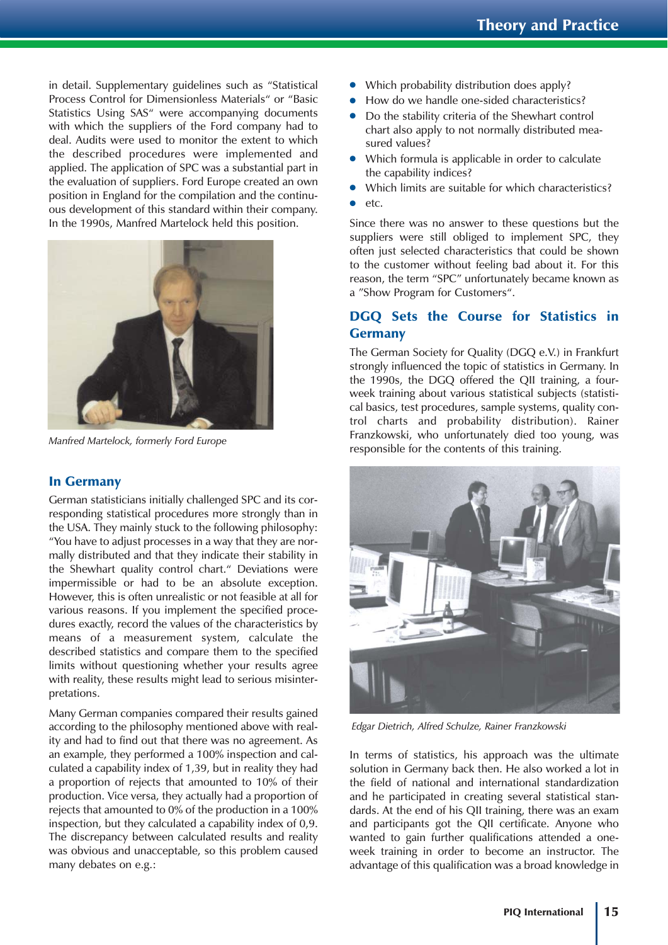in detail. Supplementary guidelines such as "Statistical Process Control for Dimensionless Materials" or "Basic Statistics Using SAS" were accompanying documents with which the suppliers of the Ford company had to deal. Audits were used to monitor the extent to which the described procedures were implemented and applied. The application of SPC was a substantial part in the evaluation of suppliers. Ford Europe created an own position in England for the compilation and the continuous development of this standard within their company. In the 1990s, Manfred Martelock held this position.



*Manfred Martelock, formerly Ford Europe*

## In Germany

German statisticians initially challenged SPC and its corresponding statistical procedures more strongly than in the USA. They mainly stuck to the following philosophy: "You have to adjust processes in a way that they are normally distributed and that they indicate their stability in the Shewhart quality control chart." Deviations were impermissible or had to be an absolute exception. However, this is often unrealistic or not feasible at all for various reasons. If you implement the specified procedures exactly, record the values of the characteristics by means of a measurement system, calculate the described statistics and compare them to the specified limits without questioning whether your results agree with reality, these results might lead to serious misinterpretations.

Many German companies compared their results gained according to the philosophy mentioned above with reality and had to find out that there was no agreement. As an example, they performed a 100% inspection and calculated a capability index of 1,39, but in reality they had a proportion of rejects that amounted to 10% of their production. Vice versa, they actually had a proportion of rejects that amounted to 0% of the production in a 100% inspection, but they calculated a capability index of 0,9. The discrepancy between calculated results and reality was obvious and unacceptable, so this problem caused many debates on e.g.:

- Which probability distribution does apply?
- How do we handle one-sided characteristics?
- Do the stability criteria of the Shewhart control chart also apply to not normally distributed measured values?
- Which formula is applicable in order to calculate the capability indices?
- Which limits are suitable for which characteristics?
- $_{\text{e}^{\dagger}C}$

Since there was no answer to these questions but the suppliers were still obliged to implement SPC, they often just selected characteristics that could be shown to the customer without feeling bad about it. For this reason, the term "SPC" unfortunately became known as a "Show Program for Customers".

# DGQ Sets the Course for Statistics in Germany

The German Society for Quality (DGQ e.V.) in Frankfurt strongly influenced the topic of statistics in Germany. In the 1990s, the DGQ offered the QII training, a fourweek training about various statistical subjects (statistical basics, test procedures, sample systems, quality control charts and probability distribution). Rainer Franzkowski, who unfortunately died too young, was responsible for the contents of this training.



*Edgar Dietrich, Alfred Schulze, Rainer Franzkowski*

In terms of statistics, his approach was the ultimate solution in Germany back then. He also worked a lot in the field of national and international standardization and he participated in creating several statistical standards. At the end of his QII training, there was an exam and participants got the QII certificate. Anyone who wanted to gain further qualifications attended a oneweek training in order to become an instructor. The advantage of this qualification was a broad knowledge in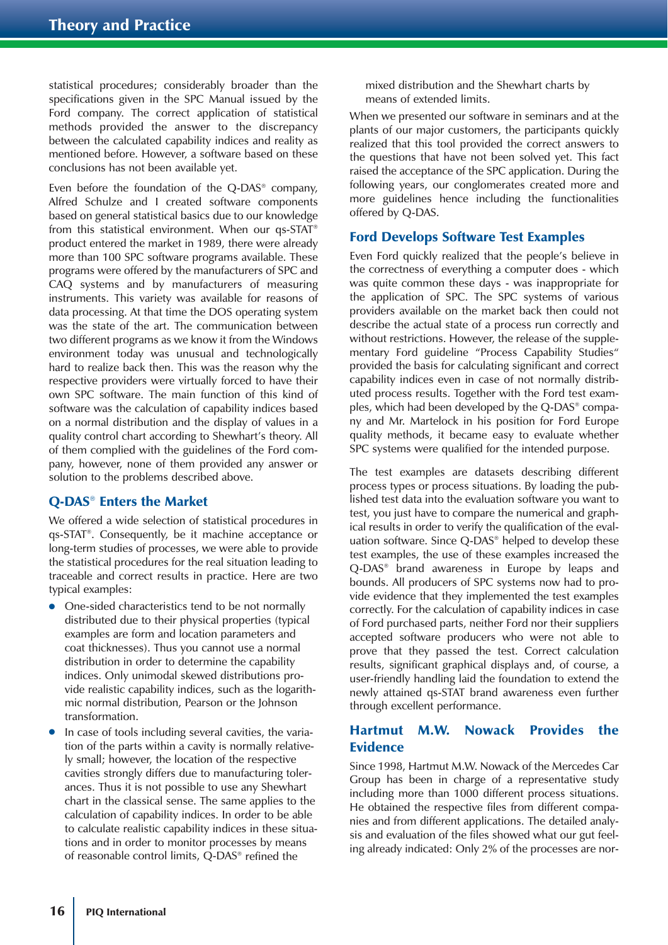statistical procedures; considerably broader than the specifications given in the SPC Manual issued by the Ford company. The correct application of statistical methods provided the answer to the discrepancy between the calculated capability indices and reality as mentioned before. However, a software based on these conclusions has not been available yet.

Even before the foundation of the  $Q$ -DAS<sup>®</sup> company, Alfred Schulze and I created software components based on general statistical basics due to our knowledge from this statistical environment. When our qs-STAT<sup>®</sup> product entered the market in 1989, there were already more than 100 SPC software programs available. These programs were offered by the manufacturers of SPC and CAQ systems and by manufacturers of measuring instruments. This variety was available for reasons of data processing. At that time the DOS operating system was the state of the art. The communication between two different programs as we know it from the Windows environment today was unusual and technologically hard to realize back then. This was the reason why the respective providers were virtually forced to have their own SPC software. The main function of this kind of software was the calculation of capability indices based on a normal distribution and the display of values in a quality control chart according to Shewhart's theory. All of them complied with the guidelines of the Ford company, however, none of them provided any answer or solution to the problems described above.

## Q-DAS® Enters the Market

We offered a wide selection of statistical procedures in qs-STAT®. Consequently, be it machine acceptance or long-term studies of processes, we were able to provide the statistical procedures for the real situation leading to traceable and correct results in practice. Here are two typical examples:

- One-sided characteristics tend to be not normally distributed due to their physical properties (typical examples are form and location parameters and coat thicknesses). Thus you cannot use a normal distribution in order to determine the capability indices. Only unimodal skewed distributions provide realistic capability indices, such as the logarithmic normal distribution, Pearson or the Johnson transformation.
- In case of tools including several cavities, the variation of the parts within a cavity is normally relatively small; however, the location of the respective cavities strongly differs due to manufacturing tolerances. Thus it is not possible to use any Shewhart chart in the classical sense. The same applies to the calculation of capability indices. In order to be able to calculate realistic capability indices in these situations and in order to monitor processes by means of reasonable control limits, Q-DAS® refined the

mixed distribution and the Shewhart charts by means of extended limits.

When we presented our software in seminars and at the plants of our major customers, the participants quickly realized that this tool provided the correct answers to the questions that have not been solved yet. This fact raised the acceptance of the SPC application. During the following years, our conglomerates created more and more guidelines hence including the functionalities offered by Q-DAS.

# Ford Develops Software Test Examples

Even Ford quickly realized that the people's believe in the correctness of everything a computer does - which was quite common these days - was inappropriate for the application of SPC. The SPC systems of various providers available on the market back then could not describe the actual state of a process run correctly and without restrictions. However, the release of the supplementary Ford guideline "Process Capability Studies" provided the basis for calculating significant and correct capability indices even in case of not normally distributed process results. Together with the Ford test examples, which had been developed by the Q-DAS® company and Mr. Martelock in his position for Ford Europe quality methods, it became easy to evaluate whether SPC systems were qualified for the intended purpose.

The test examples are datasets describing different process types or process situations. By loading the published test data into the evaluation software you want to test, you just have to compare the numerical and graphical results in order to verify the qualification of the evaluation software. Since Q-DAS® helped to develop these test examples, the use of these examples increased the Q-DAS® brand awareness in Europe by leaps and bounds. All producers of SPC systems now had to provide evidence that they implemented the test examples correctly. For the calculation of capability indices in case of Ford purchased parts, neither Ford nor their suppliers accepted software producers who were not able to prove that they passed the test. Correct calculation results, significant graphical displays and, of course, a user-friendly handling laid the foundation to extend the newly attained qs-STAT brand awareness even further through excellent performance.

# Hartmut M.W. Nowack Provides the Evidence

Since 1998, Hartmut M.W. Nowack of the Mercedes Car Group has been in charge of a representative study including more than 1000 different process situations. He obtained the respective files from different companies and from different applications. The detailed analysis and evaluation of the files showed what our gut feeling already indicated: Only 2% of the processes are nor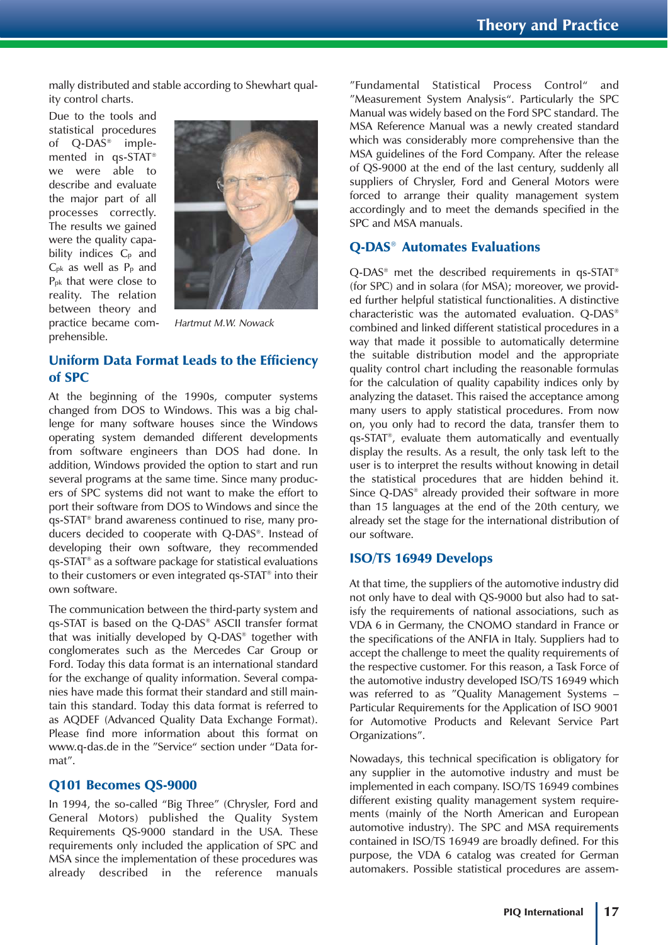mally distributed and stable according to Shewhart quality control charts.

Due to the tools and statistical procedures of Q-DAS® implemented in qs-STAT® we were able to describe and evaluate the major part of all processes correctly. The results we gained were the quality capability indices  $C_p$  and  $C_{pk}$  as well as  $P_p$  and Ppk that were close to reality. The relation between theory and practice became comprehensible.



*Hartmut M.W. Nowack*

# Uniform Data Format Leads to the Efficiency of SPC

At the beginning of the 1990s, computer systems changed from DOS to Windows. This was a big challenge for many software houses since the Windows operating system demanded different developments from software engineers than DOS had done. In addition, Windows provided the option to start and run several programs at the same time. Since many producers of SPC systems did not want to make the effort to port their software from DOS to Windows and since the qs-STAT® brand awareness continued to rise, many producers decided to cooperate with Q-DAS®. Instead of developing their own software, they recommended qs-STAT® as a software package for statistical evaluations to their customers or even integrated qs-STAT® into their own software.

The communication between the third-party system and qs-STAT is based on the Q-DAS® ASCII transfer format that was initially developed by Q-DAS® together with conglomerates such as the Mercedes Car Group or Ford. Today this data format is an international standard for the exchange of quality information. Several companies have made this format their standard and still maintain this standard. Today this data format is referred to as AQDEF (Advanced Quality Data Exchange Format). Please find more information about this format on www.q-das.de in the "Service" section under "Data format".

#### Q101 Becomes QS-9000

In 1994, the so-called "Big Three" (Chrysler, Ford and General Motors) published the Quality System Requirements QS-9000 standard in the USA. These requirements only included the application of SPC and MSA since the implementation of these procedures was already described in the reference manuals

"Fundamental Statistical Process Control" and "Measurement System Analysis". Particularly the SPC Manual was widely based on the Ford SPC standard. The MSA Reference Manual was a newly created standard which was considerably more comprehensive than the MSA guidelines of the Ford Company. After the release of QS-9000 at the end of the last century, suddenly all suppliers of Chrysler, Ford and General Motors were forced to arrange their quality management system accordingly and to meet the demands specified in the SPC and MSA manuals.

# Q-DAS® Automates Evaluations

Q-DAS® met the described requirements in qs-STAT® (for SPC) and in solara (for MSA); moreover, we provided further helpful statistical functionalities. A distinctive characteristic was the automated evaluation. Q-DAS® combined and linked different statistical procedures in a way that made it possible to automatically determine the suitable distribution model and the appropriate quality control chart including the reasonable formulas for the calculation of quality capability indices only by analyzing the dataset. This raised the acceptance among many users to apply statistical procedures. From now on, you only had to record the data, transfer them to qs-STAT®, evaluate them automatically and eventually display the results. As a result, the only task left to the user is to interpret the results without knowing in detail the statistical procedures that are hidden behind it. Since Q-DAS® already provided their software in more than 15 languages at the end of the 20th century, we already set the stage for the international distribution of our software.

## ISO/TS 16949 Develops

At that time, the suppliers of the automotive industry did not only have to deal with QS-9000 but also had to satisfy the requirements of national associations, such as VDA 6 in Germany, the CNOMO standard in France or the specifications of the ANFIA in Italy. Suppliers had to accept the challenge to meet the quality requirements of the respective customer. For this reason, a Task Force of the automotive industry developed ISO/TS 16949 which was referred to as "Quality Management Systems – Particular Requirements for the Application of ISO 9001 for Automotive Products and Relevant Service Part Organizations".

Nowadays, this technical specification is obligatory for any supplier in the automotive industry and must be implemented in each company. ISO/TS 16949 combines different existing quality management system requirements (mainly of the North American and European automotive industry). The SPC and MSA requirements contained in ISO/TS 16949 are broadly defined. For this purpose, the VDA 6 catalog was created for German automakers. Possible statistical procedures are assem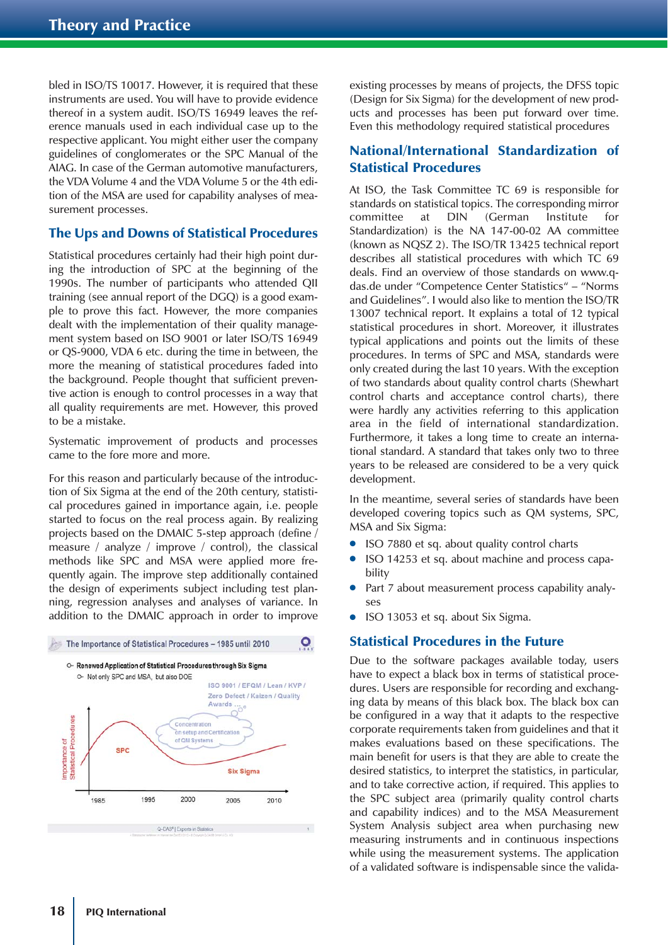bled in ISO/TS 10017. However, it is required that these instruments are used. You will have to provide evidence thereof in a system audit. ISO/TS 16949 leaves the reference manuals used in each individual case up to the respective applicant. You might either user the company guidelines of conglomerates or the SPC Manual of the AIAG. In case of the German automotive manufacturers, the VDA Volume 4 and the VDA Volume 5 or the 4th edition of the MSA are used for capability analyses of measurement processes.

# The Ups and Downs of Statistical Procedures

Statistical procedures certainly had their high point during the introduction of SPC at the beginning of the 1990s. The number of participants who attended QII training (see annual report of the DGQ) is a good example to prove this fact. However, the more companies dealt with the implementation of their quality management system based on ISO 9001 or later ISO/TS 16949 or QS-9000, VDA 6 etc. during the time in between, the more the meaning of statistical procedures faded into the background. People thought that sufficient preventive action is enough to control processes in a way that all quality requirements are met. However, this proved to be a mistake.

Systematic improvement of products and processes came to the fore more and more.

For this reason and particularly because of the introduction of Six Sigma at the end of the 20th century, statistical procedures gained in importance again, i.e. people started to focus on the real process again. By realizing projects based on the DMAIC 5-step approach (define / measure / analyze / improve / control), the classical methods like SPC and MSA were applied more frequently again. The improve step additionally contained the design of experiments subject including test planning, regression analyses and analyses of variance. In addition to the DMAIC approach in order to improve



existing processes by means of projects, the DFSS topic (Design for Six Sigma) for the development of new products and processes has been put forward over time. Even this methodology required statistical procedures

## National/International Standardization of Statistical Procedures

At ISO, the Task Committee TC 69 is responsible for standards on statistical topics. The corresponding mirror committee at DIN (German Institute Standardization) is the NA 147-00-02 AA committee (known as NQSZ 2). The ISO/TR 13425 technical report describes all statistical procedures with which TC 69 deals. Find an overview of those standards on www.qdas.de under "Competence Center Statistics" – "Norms and Guidelines". I would also like to mention the ISO/TR 13007 technical report. It explains a total of 12 typical statistical procedures in short. Moreover, it illustrates typical applications and points out the limits of these procedures. In terms of SPC and MSA, standards were only created during the last 10 years. With the exception of two standards about quality control charts (Shewhart control charts and acceptance control charts), there were hardly any activities referring to this application area in the field of international standardization. Furthermore, it takes a long time to create an international standard. A standard that takes only two to three years to be released are considered to be a very quick development.

In the meantime, several series of standards have been developed covering topics such as QM systems, SPC, MSA and Six Sigma:

- ISO 7880 et sq. about quality control charts
- ISO 14253 et sq. about machine and process capability
- Part 7 about measurement process capability analyses
- ISO 13053 et sq. about Six Sigma.

#### Statistical Procedures in the Future

Due to the software packages available today, users have to expect a black box in terms of statistical procedures. Users are responsible for recording and exchanging data by means of this black box. The black box can be configured in a way that it adapts to the respective corporate requirements taken from guidelines and that it makes evaluations based on these specifications. The main benefit for users is that they are able to create the desired statistics, to interpret the statistics, in particular, and to take corrective action, if required. This applies to the SPC subject area (primarily quality control charts and capability indices) and to the MSA Measurement System Analysis subject area when purchasing new measuring instruments and in continuous inspections while using the measurement systems. The application of a validated software is indispensable since the valida